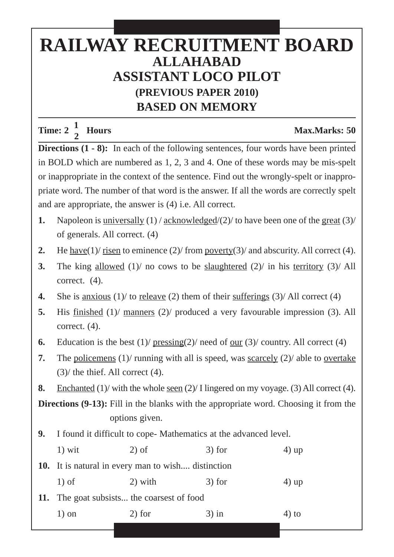## **RAILWAY RECRUITMENT BOARD ALLAHABAD ASSISTANT LOCO PILOT (PREVIOUS PAPER 2010) BASED ON MEMORY**

**Time:**  $2\frac{1}{2}$  **Hours** Max.Marks: 50

**Directions (1 - 8):** In each of the following sentences, four words have been printed in BOLD which are numbered as 1, 2, 3 and 4. One of these words may be mis-spelt or inappropriate in the context of the sentence. Find out the wrongly-spelt or inappropriate word. The number of that word is the answer. If all the words are correctly spelt and are appropriate, the answer is (4) i.e. All correct.

- **1.** Napoleon is universally (1) / acknowledged/(2)/ to have been one of the great (3)/ of generals. All correct. (4)
- **2.** He have(1)/ risen to eminence (2)/ from poverty(3)/ and abscurity. All correct (4).
- **3.** The king allowed (1)/ no cows to be slaughtered (2)/ in his territory (3)/ All correct. (4).
- **4.** She is <u>anxious</u> (1)/ to <u>releave</u> (2) them of their <u>sufferings</u> (3)/ All correct (4)
- **5.** His finished (1)/ manners (2)/ produced a very favourable impression (3). All correct. (4).
- **6.** Education is the best  $(1)$  pressing $(2)$  need of our  $(3)$  country. All correct  $(4)$
- **7.** The policemens  $(1)$  running with all is speed, was <u>scarcely</u>  $(2)$  able to <u>overtake</u> (3)/ the thief. All correct (4).
- **8.** Enchanted (1)/ with the whole <u>seen</u> (2)/ I lingered on my voyage. (3) All correct (4).

**Directions (9-13):** Fill in the blanks with the appropriate word. Choosing it from the options given.

**9.** I found it difficult to cope- Mathematics at the advanced level.

| $1)$ wit | $2)$ of                                                   | $3)$ for | $4)$ up  |
|----------|-----------------------------------------------------------|----------|----------|
|          | <b>10.</b> It is natural in every man to wish distinction |          |          |
| $1$ ) of | 2) with                                                   | $3)$ for | $(4)$ up |
|          | 11. The goat subsists the coarsest of food                |          |          |

1) on 2) for 3) in 4) to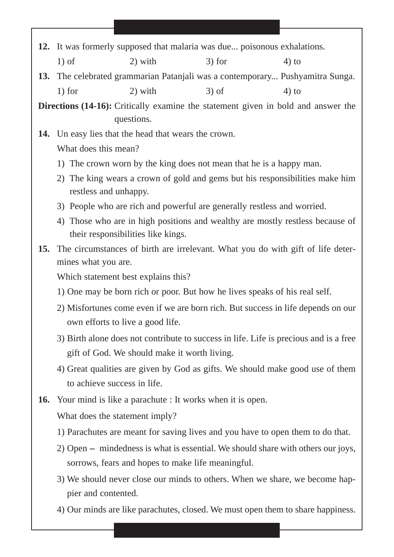- **12.** It was formerly supposed that malaria was due... poisonous exhalations. 1) of 2) with 3) for 4) to
- **13.** The celebrated grammarian Patanjali was a contemporary... Pushyamitra Sunga. 1) for 2) with  $3)$  of 4) to

**Directions (14-16):** Critically examine the statement given in bold and answer the questions.

**14.** Un easy lies that the head that wears the crown.

What does this mean?

- 1) The crown worn by the king does not mean that he is a happy man.
- 2) The king wears a crown of gold and gems but his responsibilities make him restless and unhappy.
- 3) People who are rich and powerful are generally restless and worried.
- 4) Those who are in high positions and wealthy are mostly restless because of their responsibilities like kings.
- **15.** The circumstances of birth are irrelevant. What you do with gift of life determines what you are.

Which statement best explains this?

- 1) One may be born rich or poor. But how he lives speaks of his real self.
- 2) Misfortunes come even if we are born rich. But success in life depends on our own efforts to live a good life.
- 3) Birth alone does not contribute to success in life. Life is precious and is a free gift of God. We should make it worth living.
- 4) Great qualities are given by God as gifts. We should make good use of them to achieve success in life.
- **16.** Your mind is like a parachute : It works when it is open.

What does the statement imply?

- 1) Parachutes are meant for saving lives and you have to open them to do that.
- 2) Open mindedness is what is essential. We should share with others our joys, sorrows, fears and hopes to make life meaningful.
- 3) We should never close our minds to others. When we share, we become happier and contented.
- 4) Our minds are like parachutes, closed. We must open them to share happiness.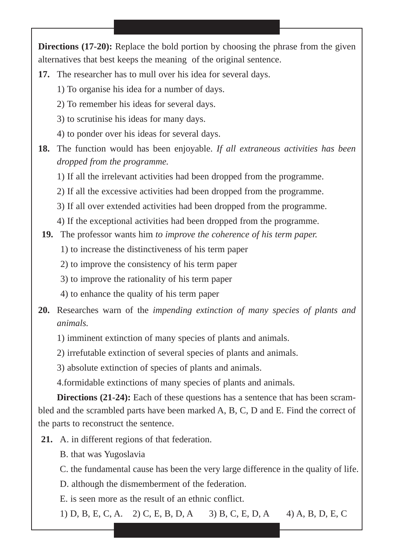**Directions (17-20):** Replace the bold portion by choosing the phrase from the given alternatives that best keeps the meaning of the original sentence.

- **17.** The researcher has to mull over his idea for several days.
	- 1) To organise his idea for a number of days.
	- 2) To remember his ideas for several days.
	- 3) to scrutinise his ideas for many days.
	- 4) to ponder over his ideas for several days.
- **18.** The function would has been enjoyable. *If all extraneous activities has been dropped from the programme.*
	- 1) If all the irrelevant activities had been dropped from the programme.
	- 2) If all the excessive activities had been dropped from the programme.
	- 3) If all over extended activities had been dropped from the programme.
	- 4) If the exceptional activities had been dropped from the programme.
- **19.** The professor wants him *to improve the coherence of his term paper.*
	- 1) to increase the distinctiveness of his term paper
	- 2) to improve the consistency of his term paper
	- 3) to improve the rationality of his term paper
	- 4) to enhance the quality of his term paper
- **20.** Researches warn of the *impending extinction of many species of plants and animals.*
	- 1) imminent extinction of many species of plants and animals.
	- 2) irrefutable extinction of several species of plants and animals.
	- 3) absolute extinction of species of plants and animals.

4.formidable extinctions of many species of plants and animals.

**Directions (21-24):** Each of these questions has a sentence that has been scrambled and the scrambled parts have been marked A, B, C, D and E. Find the correct of the parts to reconstruct the sentence.

- **21.** A. in different regions of that federation.
	- B. that was Yugoslavia
	- C. the fundamental cause has been the very large difference in the quality of life.
	- D. although the dismemberment of the federation.
	- E. is seen more as the result of an ethnic conflict.

1) D, B, E, C, A. 2) C, E, B, D, A 3) B, C, E, D, A 4) A, B, D, E, C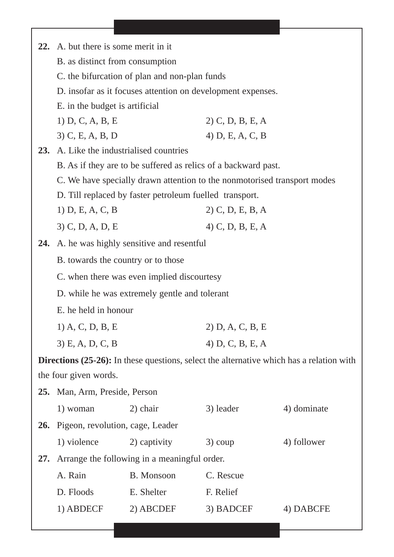|     | 22. A. but there is some merit in it          |                                                         |                                                                          |                                                                                                 |  |
|-----|-----------------------------------------------|---------------------------------------------------------|--------------------------------------------------------------------------|-------------------------------------------------------------------------------------------------|--|
|     | B. as distinct from consumption               |                                                         |                                                                          |                                                                                                 |  |
|     | C. the bifurcation of plan and non-plan funds |                                                         |                                                                          |                                                                                                 |  |
|     |                                               |                                                         | D. insofar as it focuses attention on development expenses.              |                                                                                                 |  |
|     | E. in the budget is artificial                |                                                         |                                                                          |                                                                                                 |  |
|     | 1) D, C, A, B, E                              |                                                         | $2)$ C, D, B, E, A                                                       |                                                                                                 |  |
|     | 3) C, E, A, B, D                              |                                                         | 4) $D, E, A, C, B$                                                       |                                                                                                 |  |
| 23. | A. Like the industrialised countries          |                                                         |                                                                          |                                                                                                 |  |
|     |                                               |                                                         | B. As if they are to be suffered as relics of a backward past.           |                                                                                                 |  |
|     |                                               |                                                         | C. We have specially drawn attention to the nonmotorised transport modes |                                                                                                 |  |
|     |                                               | D. Till replaced by faster petroleum fuelled transport. |                                                                          |                                                                                                 |  |
|     | 1) $D, E, A, C, B$                            |                                                         | $2)$ C, D, E, B, A                                                       |                                                                                                 |  |
|     | $3)$ C, D, A, D, E                            |                                                         | 4) C, D, B, E, A                                                         |                                                                                                 |  |
| 24. |                                               | A. he was highly sensitive and resentful                |                                                                          |                                                                                                 |  |
|     | B. towards the country or to those            |                                                         |                                                                          |                                                                                                 |  |
|     | C. when there was even implied discourtesy    |                                                         |                                                                          |                                                                                                 |  |
|     | D. while he was extremely gentle and tolerant |                                                         |                                                                          |                                                                                                 |  |
|     | E. he held in honour                          |                                                         |                                                                          |                                                                                                 |  |
|     | $1)$ A, C, D, B, E                            |                                                         | 2) D, A, C, B, E                                                         |                                                                                                 |  |
|     | 3) E, A, D, C, B                              |                                                         | 4) $D, C, B, E, A$                                                       |                                                                                                 |  |
|     |                                               |                                                         |                                                                          | <b>Directions (25-26):</b> In these questions, select the alternative which has a relation with |  |
|     | the four given words.                         |                                                         |                                                                          |                                                                                                 |  |
| 25. | Man, Arm, Preside, Person                     |                                                         |                                                                          |                                                                                                 |  |
|     | 1) woman                                      | 2) chair                                                | 3) leader                                                                | 4) dominate                                                                                     |  |
|     | <b>26.</b> Pigeon, revolution, cage, Leader   |                                                         |                                                                          |                                                                                                 |  |
|     | 1) violence                                   | 2) captivity                                            | $3)$ coup                                                                | 4) follower                                                                                     |  |
| 27. |                                               | Arrange the following in a meaningful order.            |                                                                          |                                                                                                 |  |
|     | A. Rain                                       | B. Monsoon                                              | C. Rescue                                                                |                                                                                                 |  |
|     | D. Floods                                     | E. Shelter                                              | F. Relief                                                                |                                                                                                 |  |
|     | 1) ABDECF                                     | 2) ABCDEF                                               | 3) BADCEF                                                                | 4) DABCFE                                                                                       |  |
|     |                                               |                                                         |                                                                          |                                                                                                 |  |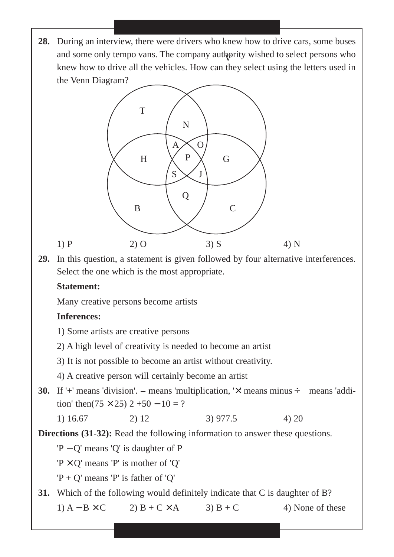**28.** During an interview, there were drivers who knew how to drive cars, some buses and some only tempo vans. The company authority wished to select persons who knew how to drive all the vehicles. How can they select using the letters used in the Venn Diagram?



**29.** In this question, a statement is given followed by four alternative interferences. Select the one which is the most appropriate.

## **Statement:**

Many creative persons become artists

## **Inferences:**

- 1) Some artists are creative persons
- 2) A high level of creativity is needed to become an artist
- 3) It is not possible to become an artist without creativity.
- 4) A creative person will certainly become an artist
- **30.** If '+' means 'division'.  $-$  means 'multiplication, ' $\times$ ' means minus  $\div$  means 'addi-<br>20 tion' then( $75 \times 25$ ) 2+50 – 10 = ?
	- 1)  $16.67$  2)  $12$  3)  $977.5$  4)  $20$

**Directions (31-32):** Read the following information to answer these questions.

'P − Q' means 'Q' is daughter of P

 $'P \times Q'$  means 'P' is mother of 'Q'

'P + Q' means 'P' is father of 'Q'

**31.** Which of the following would definitely indicate that C is daughter of B?

1)  $A - B \times C$  2)  $B + C \times A$  3)  $B + C$  4) None of these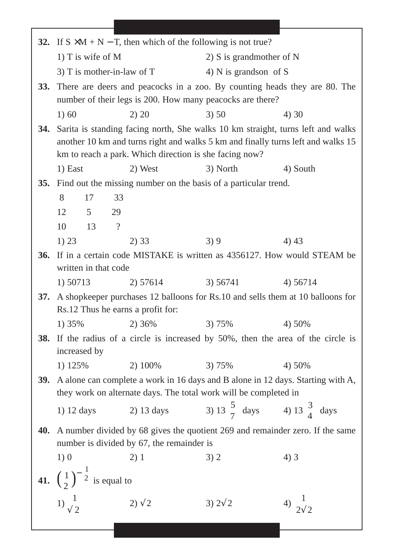|            |                                                           | 32. If $S \times M + N - T$ , then which of the following is not true?                   |                                                   |                          |
|------------|-----------------------------------------------------------|------------------------------------------------------------------------------------------|---------------------------------------------------|--------------------------|
|            | 1) T is wife of $M$                                       |                                                                                          | 2) S is grandmother of $N$                        |                          |
|            |                                                           | 3) T is mother-in-law of $T$                                                             | 4) N is grands on of S                            |                          |
| <b>33.</b> |                                                           | There are deers and peacocks in a zoo. By counting heads they are 80. The                |                                                   |                          |
|            | number of their legs is 200. How many peacocks are there? |                                                                                          |                                                   |                          |
|            | 1) 60                                                     | 2) 20                                                                                    | 3) 50                                             | 4) 30                    |
| 34.        |                                                           | Sarita is standing facing north, She walks 10 km straight, turns left and walks          |                                                   |                          |
|            |                                                           | another 10 km and turns right and walks 5 km and finally turns left and walks 15         |                                                   |                          |
|            |                                                           | km to reach a park. Which direction is she facing now?                                   |                                                   |                          |
|            | 1) East                                                   | 2) West                                                                                  | 3) North                                          | 4) South                 |
| 35.        |                                                           | Find out the missing number on the basis of a particular trend.                          |                                                   |                          |
|            | 8<br>17                                                   | 33                                                                                       |                                                   |                          |
|            | 12<br>5 <sup>5</sup>                                      | 29                                                                                       |                                                   |                          |
|            | 10<br>13                                                  | $\overline{?}$                                                                           |                                                   |                          |
|            | 1) 23                                                     | 2) 33                                                                                    | 3)9                                               | 4)43                     |
| <b>36.</b> | written in that code                                      | If in a certain code MISTAKE is written as 4356127. How would STEAM be                   |                                                   |                          |
|            | 1) 50713                                                  | 2) 57614                                                                                 | 3) 56741                                          | 4) 56714                 |
| <b>37.</b> |                                                           | A shopkeeper purchases 12 balloons for Rs.10 and sells them at 10 balloons for           |                                                   |                          |
|            |                                                           | Rs.12 Thus he earns a profit for:                                                        |                                                   |                          |
|            | 1) 35%                                                    | 2) 36%                                                                                   | 3) 75%                                            | 4) 50%                   |
| <b>38.</b> |                                                           | If the radius of a circle is increased by 50%, then the area of the circle is            |                                                   |                          |
|            | increased by                                              |                                                                                          |                                                   |                          |
|            | 1) 125%                                                   | 2) 100%                                                                                  | 3) 75%                                            | 4) 50%                   |
| <b>39.</b> |                                                           | A alone can complete a work in 16 days and B alone in 12 days. Starting with A,          |                                                   |                          |
|            |                                                           | they work on alternate days. The total work will be completed in                         |                                                   |                          |
|            | 1) 12 days                                                | 2) 13 days                                                                               | 3) 13 $\frac{5}{7}$ days 4) 13 $\frac{3}{4}$ days |                          |
|            |                                                           | <b>40.</b> A number divided by 68 gives the quotient 269 and remainder zero. If the same |                                                   |                          |
|            | number is divided by 67, the remainder is                 |                                                                                          |                                                   |                          |
|            | 1)0                                                       | 2)1                                                                                      | 3) 2                                              | 4)3                      |
|            | 41. $\left(\frac{1}{2}\right)^{-\frac{1}{2}}$ is equal to |                                                                                          |                                                   |                          |
|            |                                                           |                                                                                          |                                                   |                          |
|            | 1) $\frac{1}{\sqrt{2}}$                                   | $2)\sqrt{2}$                                                                             | 3) $2\sqrt{2}$                                    | 4) $\frac{1}{2\sqrt{2}}$ |
|            |                                                           |                                                                                          |                                                   |                          |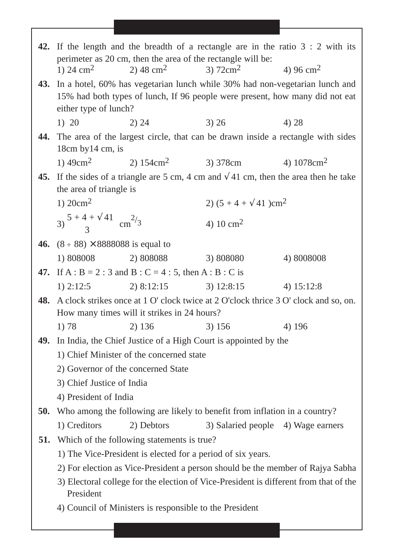|     |                                                                  |                                                                                   |                                          | 42. If the length and the breadth of a rectangle are in the ratio $3:2$ with its                                                                                |
|-----|------------------------------------------------------------------|-----------------------------------------------------------------------------------|------------------------------------------|-----------------------------------------------------------------------------------------------------------------------------------------------------------------|
|     |                                                                  | perimeter as 20 cm, then the area of the rectangle will be:                       |                                          |                                                                                                                                                                 |
|     | 1) 24 $\rm cm^2$                                                 | 2) 48 cm <sup>2</sup>                                                             | 3) $72 \text{cm}^2$                      | 4) 96 cm <sup>2</sup>                                                                                                                                           |
|     | either type of lunch?                                            |                                                                                   |                                          | 43. In a hotel, 60% has vegetarian lunch while 30% had non-vegetarian lunch and<br>15% had both types of lunch, If 96 people were present, how many did not eat |
|     | 1) 20                                                            | 3) 26<br>2) 24                                                                    |                                          | 4) 28                                                                                                                                                           |
| 44. |                                                                  |                                                                                   |                                          | The area of the largest circle, that can be drawn inside a rectangle with sides                                                                                 |
|     | $18cm$ by $14$ cm, is                                            |                                                                                   |                                          |                                                                                                                                                                 |
|     |                                                                  | 1) $49 \text{cm}^2$ 2) $154 \text{cm}^2$ 3) $378 \text{cm}$ 4) $1078 \text{cm}^2$ |                                          |                                                                                                                                                                 |
|     |                                                                  |                                                                                   |                                          | 45. If the sides of a triangle are 5 cm, 4 cm and $\sqrt{41}$ cm, then the area then he take                                                                    |
|     | the area of triangle is                                          |                                                                                   |                                          |                                                                                                                                                                 |
|     | 1) $20cm2$                                                       |                                                                                   | 2) $(5 + 4 + \sqrt{41})$ cm <sup>2</sup> |                                                                                                                                                                 |
|     | $(3) \frac{5 + 4 + \sqrt{41}}{2}$ cm <sup>2</sup> / <sub>3</sub> |                                                                                   | 4) 10 $\text{cm}^2$                      |                                                                                                                                                                 |
|     | 46. $(8 \div 88) \times 8888088$ is equal to                     |                                                                                   |                                          |                                                                                                                                                                 |
|     | 1) 808008                                                        | 2) 808088                                                                         | 3) 808080                                | 4) 8008008                                                                                                                                                      |
|     |                                                                  | 47. If A : B = 2 : 3 and B : C = 4 : 5, then A : B : C is                         |                                          |                                                                                                                                                                 |
|     |                                                                  | 1) 2:12:5 2) 8:12:15 3) 12:8:15                                                   |                                          | 4) $15:12:8$                                                                                                                                                    |
| 48. |                                                                  |                                                                                   |                                          | A clock strikes once at 1 O' clock twice at 2 O'clock thrice 3 O' clock and so, on.                                                                             |
|     |                                                                  | How many times will it strikes in 24 hours?                                       |                                          |                                                                                                                                                                 |
|     | 1) 78                                                            | 2) 136                                                                            | 3) 156                                   | 4) 196                                                                                                                                                          |
|     |                                                                  | <b>49.</b> In India, the Chief Justice of a High Court is appointed by the        |                                          |                                                                                                                                                                 |
|     |                                                                  | 1) Chief Minister of the concerned state                                          |                                          |                                                                                                                                                                 |
|     | 2) Governor of the concerned State                               |                                                                                   |                                          |                                                                                                                                                                 |
|     | 3) Chief Justice of India                                        |                                                                                   |                                          |                                                                                                                                                                 |
|     | 4) President of India                                            |                                                                                   |                                          |                                                                                                                                                                 |
| 50. |                                                                  | Who among the following are likely to benefit from inflation in a country?        |                                          |                                                                                                                                                                 |
|     | 1) Creditors                                                     | 2) Debtors                                                                        | 3) Salaried people 4) Wage earners       |                                                                                                                                                                 |
| 51. |                                                                  | Which of the following statements is true?                                        |                                          |                                                                                                                                                                 |
|     |                                                                  | 1) The Vice-President is elected for a period of six years.                       |                                          |                                                                                                                                                                 |
|     |                                                                  |                                                                                   |                                          | 2) For election as Vice-President a person should be the member of Rajya Sabha                                                                                  |
|     | President                                                        |                                                                                   |                                          | 3) Electoral college for the election of Vice-President is different from that of the                                                                           |
|     |                                                                  | 4) Council of Ministers is responsible to the President                           |                                          |                                                                                                                                                                 |
|     |                                                                  |                                                                                   |                                          |                                                                                                                                                                 |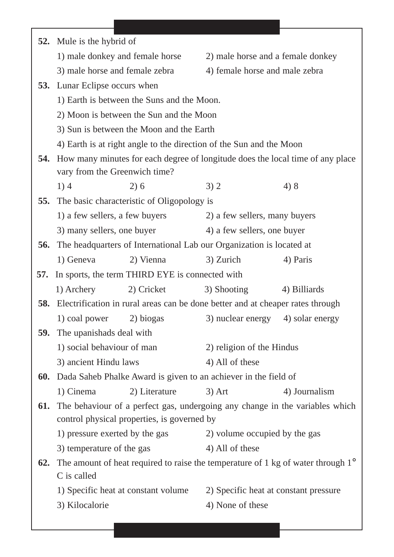|     | 52. Mule is the hybrid of                                       |                                                                                           |                                       |                                                                                           |  |
|-----|-----------------------------------------------------------------|-------------------------------------------------------------------------------------------|---------------------------------------|-------------------------------------------------------------------------------------------|--|
|     |                                                                 | 1) male donkey and female horse                                                           | 2) male horse and a female donkey     |                                                                                           |  |
|     | 3) male horse and female zebra                                  |                                                                                           | 4) female horse and male zebra        |                                                                                           |  |
|     | <b>53.</b> Lunar Eclipse occurs when                            |                                                                                           |                                       |                                                                                           |  |
|     | 1) Earth is between the Suns and the Moon.                      |                                                                                           |                                       |                                                                                           |  |
|     | 2) Moon is between the Sun and the Moon                         |                                                                                           |                                       |                                                                                           |  |
|     |                                                                 | 3) Sun is between the Moon and the Earth                                                  |                                       |                                                                                           |  |
|     |                                                                 | 4) Earth is at right angle to the direction of the Sun and the Moon                       |                                       |                                                                                           |  |
| 54. |                                                                 |                                                                                           |                                       | How many minutes for each degree of longitude does the local time of any place            |  |
|     | vary from the Greenwich time?                                   |                                                                                           |                                       |                                                                                           |  |
|     | 1)4                                                             | 2)6                                                                                       | 3)2                                   | 4) 8                                                                                      |  |
| 55. |                                                                 | The basic characteristic of Oligopology is                                                |                                       |                                                                                           |  |
|     | 1) a few sellers, a few buyers<br>2) a few sellers, many buyers |                                                                                           |                                       |                                                                                           |  |
|     | 3) many sellers, one buyer                                      |                                                                                           | 4) a few sellers, one buyer           |                                                                                           |  |
| 56. |                                                                 | The headquarters of International Lab our Organization is located at                      |                                       |                                                                                           |  |
|     | 1) Geneva                                                       | 2) Vienna                                                                                 | 3) Zurich                             | 4) Paris                                                                                  |  |
| 57. |                                                                 | In sports, the term THIRD EYE is connected with                                           |                                       |                                                                                           |  |
|     | 1) Archery                                                      | 2) Cricket                                                                                | 3) Shooting                           | 4) Billiards                                                                              |  |
|     |                                                                 | <b>58.</b> Electrification in rural areas can be done better and at cheaper rates through |                                       |                                                                                           |  |
|     | 1) coal power                                                   | 2) biogas                                                                                 | 3) nuclear energy 4) solar energy     |                                                                                           |  |
|     | 59. The upanishads deal with                                    |                                                                                           |                                       |                                                                                           |  |
|     | 1) social behaviour of man                                      |                                                                                           | 2) religion of the Hindus             |                                                                                           |  |
|     | 3) ancient Hindu laws                                           |                                                                                           | 4) All of these                       |                                                                                           |  |
| 60. |                                                                 | Dada Saheb Phalke Award is given to an achiever in the field of                           |                                       |                                                                                           |  |
|     | 1) Cinema                                                       | 2) Literature                                                                             | $3)$ Art                              | 4) Journalism                                                                             |  |
| 61. |                                                                 |                                                                                           |                                       | The behaviour of a perfect gas, undergoing any change in the variables which              |  |
|     |                                                                 | control physical properties, is governed by                                               |                                       |                                                                                           |  |
|     | 1) pressure exerted by the gas                                  |                                                                                           | 2) volume occupied by the gas         |                                                                                           |  |
|     | 3) temperature of the gas                                       |                                                                                           | 4) All of these                       |                                                                                           |  |
| 62. | C is called                                                     |                                                                                           |                                       | The amount of heat required to raise the temperature of 1 kg of water through $1^{\circ}$ |  |
|     | 1) Specific heat at constant volume                             |                                                                                           | 2) Specific heat at constant pressure |                                                                                           |  |
|     | 3) Kilocalorie                                                  |                                                                                           | 4) None of these                      |                                                                                           |  |
|     |                                                                 |                                                                                           |                                       |                                                                                           |  |
|     |                                                                 |                                                                                           |                                       |                                                                                           |  |

٦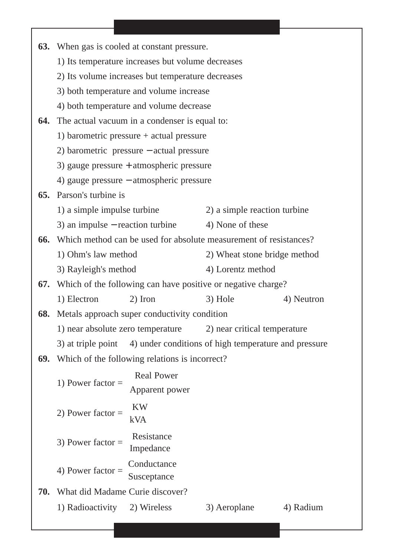|     | <b>63.</b> When gas is cooled at constant pressure.                     |                                                                  |            |  |  |
|-----|-------------------------------------------------------------------------|------------------------------------------------------------------|------------|--|--|
|     | 1) Its temperature increases but volume decreases                       |                                                                  |            |  |  |
|     | 2) Its volume increases but temperature decreases                       |                                                                  |            |  |  |
|     | 3) both temperature and volume increase                                 |                                                                  |            |  |  |
|     | 4) both temperature and volume decrease                                 |                                                                  |            |  |  |
| 64. | The actual vacuum in a condenser is equal to:                           |                                                                  |            |  |  |
|     | 1) barometric pressure $+$ actual pressure                              |                                                                  |            |  |  |
|     | 2) barometric pressure $-$ actual pressure                              |                                                                  |            |  |  |
|     | 3) gauge pressure $+$ atmospheric pressure                              |                                                                  |            |  |  |
|     | 4) gauge pressure – atmospheric pressure                                |                                                                  |            |  |  |
| 65. | Parson's turbine is                                                     |                                                                  |            |  |  |
|     | 1) a simple impulse turbine                                             | 2) a simple reaction turbine                                     |            |  |  |
|     | 3) an impulse $-$ reaction turbine                                      | 4) None of these                                                 |            |  |  |
| 66. | Which method can be used for absolute measurement of resistances?       |                                                                  |            |  |  |
|     | 1) Ohm's law method                                                     | 2) Wheat stone bridge method                                     |            |  |  |
|     | 3) Rayleigh's method<br>4) Lorentz method                               |                                                                  |            |  |  |
|     |                                                                         | 67. Which of the following can have positive or negative charge? |            |  |  |
|     | 1) Electron<br>2) Iron                                                  | 3) Hole                                                          | 4) Neutron |  |  |
| 68. | Metals approach super conductivity condition                            |                                                                  |            |  |  |
|     | 1) near absolute zero temperature 2) near critical temperature          |                                                                  |            |  |  |
|     | 3) at triple point 4) under conditions of high temperature and pressure |                                                                  |            |  |  |
|     | <b>69.</b> Which of the following relations is incorrect?               |                                                                  |            |  |  |
|     | 1) Power factor = $\frac{\text{Real Power}}{\text{Apparent power}}$     |                                                                  |            |  |  |
|     |                                                                         |                                                                  |            |  |  |
|     | 2) Power factor = $\frac{KW}{kVA}$                                      |                                                                  |            |  |  |
|     | 3) Power factor = $\frac{\text{Resistance}}{\text{Impedance}}$          |                                                                  |            |  |  |
|     | 4) Power factor = $\frac{\text{Conductance}}{\text{Susceptance}}$       |                                                                  |            |  |  |
|     | <b>70.</b> What did Madame Curie discover?                              |                                                                  |            |  |  |
|     | 1) Radioactivity 2) Wireless                                            | 3) Aeroplane                                                     | 4) Radium  |  |  |
|     |                                                                         |                                                                  |            |  |  |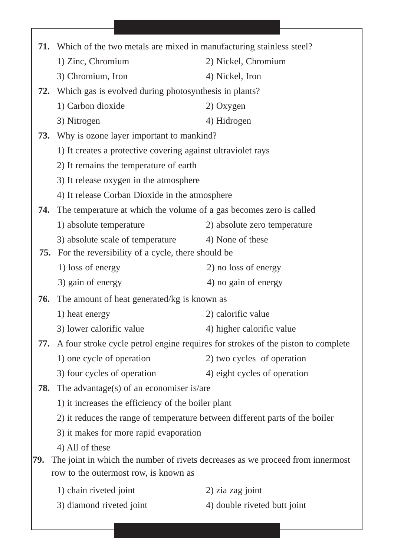| 71. |                                                                              | Which of the two metals are mixed in manufacturing stainless steel?              |  |  |  |
|-----|------------------------------------------------------------------------------|----------------------------------------------------------------------------------|--|--|--|
|     | 1) Zinc, Chromium                                                            | 2) Nickel, Chromium                                                              |  |  |  |
|     | 3) Chromium, Iron                                                            | 4) Nickel, Iron                                                                  |  |  |  |
| 72. | Which gas is evolved during photosynthesis in plants?                        |                                                                                  |  |  |  |
|     | 1) Carbon dioxide                                                            | 2) Oxygen                                                                        |  |  |  |
|     | 3) Nitrogen                                                                  | 4) Hidrogen                                                                      |  |  |  |
| 73. | Why is ozone layer important to mankind?                                     |                                                                                  |  |  |  |
|     | 1) It creates a protective covering against ultraviolet rays                 |                                                                                  |  |  |  |
|     | 2) It remains the temperature of earth                                       |                                                                                  |  |  |  |
|     | 3) It release oxygen in the atmosphere                                       |                                                                                  |  |  |  |
|     | 4) It release Corban Dioxide in the atmosphere                               |                                                                                  |  |  |  |
| 74. | The temperature at which the volume of a gas becomes zero is called          |                                                                                  |  |  |  |
|     | 1) absolute temperature                                                      | 2) absolute zero temperature                                                     |  |  |  |
|     | 3) absolute scale of temperature                                             | 4) None of these                                                                 |  |  |  |
| 75. | For the reversibility of a cycle, there should be                            |                                                                                  |  |  |  |
|     | 1) loss of energy                                                            | 2) no loss of energy                                                             |  |  |  |
|     | 3) gain of energy                                                            | 4) no gain of energy                                                             |  |  |  |
| 76. | The amount of heat generated/kg is known as                                  |                                                                                  |  |  |  |
|     | 1) heat energy                                                               | 2) calorific value                                                               |  |  |  |
|     | 3) lower calorific value                                                     | 4) higher calorific value                                                        |  |  |  |
| 77. |                                                                              | A four stroke cycle petrol engine requires for strokes of the piston to complete |  |  |  |
|     | 1) one cycle of operation                                                    | 2) two cycles of operation                                                       |  |  |  |
|     | 3) four cycles of operation                                                  | 4) eight cycles of operation                                                     |  |  |  |
| 78. | The advantage(s) of an economiser is/are                                     |                                                                                  |  |  |  |
|     | 1) it increases the efficiency of the boiler plant                           |                                                                                  |  |  |  |
|     | 2) it reduces the range of temperature between different parts of the boiler |                                                                                  |  |  |  |
|     | 3) it makes for more rapid evaporation                                       |                                                                                  |  |  |  |
|     | 4) All of these                                                              |                                                                                  |  |  |  |
| 79. |                                                                              | The joint in which the number of rivets decreases as we proceed from innermost   |  |  |  |
|     | row to the outermost row, is known as                                        |                                                                                  |  |  |  |
|     | 1) chain riveted joint                                                       | 2) zia zag joint                                                                 |  |  |  |
|     | 3) diamond riveted joint                                                     | 4) double riveted butt joint                                                     |  |  |  |
|     |                                                                              |                                                                                  |  |  |  |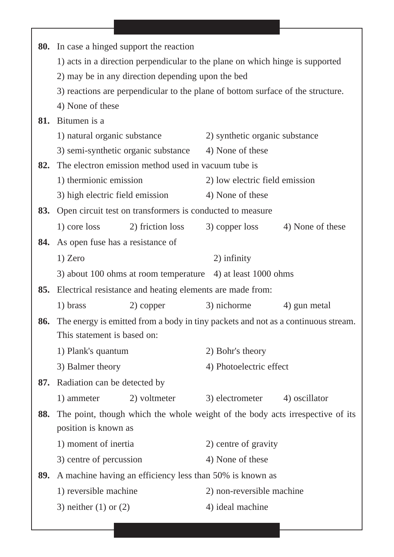|     | <b>80.</b> In case a hinged support the reaction                              |                                                           |                                                                                 |                                                                                   |  |
|-----|-------------------------------------------------------------------------------|-----------------------------------------------------------|---------------------------------------------------------------------------------|-----------------------------------------------------------------------------------|--|
|     | 1) acts in a direction perpendicular to the plane on which hinge is supported |                                                           |                                                                                 |                                                                                   |  |
|     | 2) may be in any direction depending upon the bed                             |                                                           |                                                                                 |                                                                                   |  |
|     |                                                                               |                                                           | 3) reactions are perpendicular to the plane of bottom surface of the structure. |                                                                                   |  |
|     | 4) None of these                                                              |                                                           |                                                                                 |                                                                                   |  |
| 81. | Bitumen is a                                                                  |                                                           |                                                                                 |                                                                                   |  |
|     | 1) natural organic substance                                                  |                                                           | 2) synthetic organic substance                                                  |                                                                                   |  |
|     |                                                                               | 3) semi-synthetic organic substance                       | 4) None of these                                                                |                                                                                   |  |
| 82. |                                                                               | The electron emission method used in vacuum tube is       |                                                                                 |                                                                                   |  |
|     | 1) thermionic emission                                                        |                                                           | 2) low electric field emission                                                  |                                                                                   |  |
|     | 3) high electric field emission                                               |                                                           | 4) None of these                                                                |                                                                                   |  |
| 83. |                                                                               | Open circuit test on transformers is conducted to measure |                                                                                 |                                                                                   |  |
|     | 1) core loss                                                                  | 2) friction loss                                          | 3) copper loss                                                                  | 4) None of these                                                                  |  |
| 84. | As open fuse has a resistance of                                              |                                                           |                                                                                 |                                                                                   |  |
|     | $1)$ Zero                                                                     |                                                           | 2) infinity                                                                     |                                                                                   |  |
|     |                                                                               |                                                           | 3) about 100 ohms at room temperature 4) at least 1000 ohms                     |                                                                                   |  |
| 85. |                                                                               | Electrical resistance and heating elements are made from: |                                                                                 |                                                                                   |  |
|     | 1) brass                                                                      | 2) copper                                                 | 3) nichorme                                                                     | 4) gun metal                                                                      |  |
| 86. |                                                                               |                                                           |                                                                                 | The energy is emitted from a body in tiny packets and not as a continuous stream. |  |
|     | This statement is based on:                                                   |                                                           |                                                                                 |                                                                                   |  |
|     | 1) Plank's quantum                                                            |                                                           | 2) Bohr's theory                                                                |                                                                                   |  |
|     | 3) Balmer theory                                                              |                                                           | 4) Photoelectric effect                                                         |                                                                                   |  |
| 87. | Radiation can be detected by                                                  |                                                           |                                                                                 |                                                                                   |  |
|     | 1) ammeter                                                                    | 2) voltmeter                                              | 3) electrometer                                                                 | 4) oscillator                                                                     |  |
| 88. |                                                                               |                                                           |                                                                                 | The point, though which the whole weight of the body acts irrespective of its     |  |
|     | position is known as                                                          |                                                           |                                                                                 |                                                                                   |  |
|     | 1) moment of inertia                                                          |                                                           | 2) centre of gravity                                                            |                                                                                   |  |
|     | 3) centre of percussion                                                       |                                                           | 4) None of these                                                                |                                                                                   |  |
| 89. |                                                                               |                                                           | A machine having an efficiency less than 50% is known as                        |                                                                                   |  |
|     | 1) reversible machine                                                         |                                                           | 2) non-reversible machine                                                       |                                                                                   |  |
|     | 3) neither $(1)$ or $(2)$                                                     |                                                           | 4) ideal machine                                                                |                                                                                   |  |
|     |                                                                               |                                                           |                                                                                 |                                                                                   |  |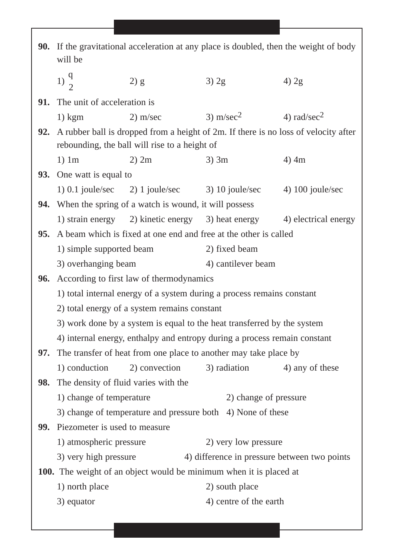|     | <b>90.</b> If the gravitational acceleration at any place is doubled, then the weight of body<br>will be |                                                                 |                                                                           |                                                                                                |
|-----|----------------------------------------------------------------------------------------------------------|-----------------------------------------------------------------|---------------------------------------------------------------------------|------------------------------------------------------------------------------------------------|
|     | $1)\frac{q}{2}$                                                                                          | 2) g                                                            | $3)$ 2g                                                                   | $4)$ 2g                                                                                        |
|     | <b>91.</b> The unit of acceleration is                                                                   |                                                                 |                                                                           |                                                                                                |
|     | $1)$ kgm                                                                                                 | $2)$ m/sec                                                      | 3) m/sec <sup>2</sup> 4) rad/sec <sup>2</sup>                             |                                                                                                |
|     |                                                                                                          |                                                                 |                                                                           | <b>92.</b> A rubber ball is dropped from a height of 2m. If there is no loss of velocity after |
|     |                                                                                                          | rebounding, the ball will rise to a height of                   |                                                                           |                                                                                                |
|     | $1)$ 1m                                                                                                  | $2)$ 2m                                                         | $3)$ 3m                                                                   | $4)$ 4m                                                                                        |
|     | 93. One watt is equal to                                                                                 |                                                                 |                                                                           |                                                                                                |
|     |                                                                                                          |                                                                 | 1) 0.1 joule/sec 2) 1 joule/sec 3) 10 joule/sec 4) 100 joule/sec          |                                                                                                |
|     |                                                                                                          | <b>94.</b> When the spring of a watch is wound, it will possess |                                                                           |                                                                                                |
|     |                                                                                                          |                                                                 | 1) strain energy 2) kinetic energy 3) heat energy                         | 4) electrical energy                                                                           |
|     |                                                                                                          |                                                                 | 95. A beam which is fixed at one end and free at the other is called      |                                                                                                |
|     | 1) simple supported beam                                                                                 |                                                                 | 2) fixed beam                                                             |                                                                                                |
|     | 3) overhanging beam<br>4) cantilever beam                                                                |                                                                 |                                                                           |                                                                                                |
| 96. |                                                                                                          | According to first law of thermodynamics                        |                                                                           |                                                                                                |
|     | 1) total internal energy of a system during a process remains constant                                   |                                                                 |                                                                           |                                                                                                |
|     |                                                                                                          | 2) total energy of a system remains constant                    |                                                                           |                                                                                                |
|     |                                                                                                          |                                                                 | 3) work done by a system is equal to the heat transferred by the system   |                                                                                                |
|     |                                                                                                          |                                                                 | 4) internal energy, enthalpy and entropy during a process remain constant |                                                                                                |
| 97. |                                                                                                          |                                                                 | The transfer of heat from one place to another may take place by          |                                                                                                |
|     | 1) conduction                                                                                            | 2) convection                                                   | 3) radiation                                                              | 4) any of these                                                                                |
|     | 98. The density of fluid varies with the                                                                 |                                                                 |                                                                           |                                                                                                |
|     | 1) change of temperature                                                                                 |                                                                 | 2) change of pressure                                                     |                                                                                                |
|     |                                                                                                          |                                                                 | 3) change of temperature and pressure both 4) None of these               |                                                                                                |
|     | <b>99.</b> Piezometer is used to measure                                                                 |                                                                 |                                                                           |                                                                                                |
|     | 1) atmospheric pressure                                                                                  |                                                                 | 2) very low pressure                                                      |                                                                                                |
|     | 3) very high pressure                                                                                    |                                                                 | 4) difference in pressure between two points                              |                                                                                                |
|     |                                                                                                          |                                                                 | 100. The weight of an object would be minimum when it is placed at        |                                                                                                |
|     | 1) north place                                                                                           |                                                                 | 2) south place                                                            |                                                                                                |
|     | 3) equator                                                                                               |                                                                 | 4) centre of the earth                                                    |                                                                                                |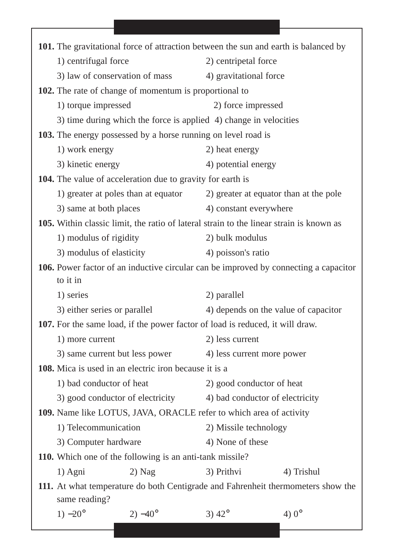|                                                                   |                                     | 101. The gravitational force of attraction between the sun and earth is balanced by     |                                                                                      |  |
|-------------------------------------------------------------------|-------------------------------------|-----------------------------------------------------------------------------------------|--------------------------------------------------------------------------------------|--|
| 1) centrifugal force                                              |                                     | 2) centripetal force                                                                    |                                                                                      |  |
|                                                                   | 3) law of conservation of mass      | 4) gravitational force                                                                  |                                                                                      |  |
| <b>102.</b> The rate of change of momentum is proportional to     |                                     |                                                                                         |                                                                                      |  |
| 1) torque impressed                                               |                                     | 2) force impressed                                                                      |                                                                                      |  |
|                                                                   |                                     | 3) time during which the force is applied 4) change in velocities                       |                                                                                      |  |
|                                                                   |                                     | 103. The energy possessed by a horse running on level road is                           |                                                                                      |  |
| 1) work energy                                                    |                                     | 2) heat energy                                                                          |                                                                                      |  |
| 3) kinetic energy                                                 |                                     | 4) potential energy                                                                     |                                                                                      |  |
| <b>104.</b> The value of acceleration due to gravity for earth is |                                     |                                                                                         |                                                                                      |  |
|                                                                   | 1) greater at poles than at equator |                                                                                         | 2) greater at equator than at the pole                                               |  |
| 3) same at both places                                            |                                     | 4) constant everywhere                                                                  |                                                                                      |  |
|                                                                   |                                     | 105. Within classic limit, the ratio of lateral strain to the linear strain is known as |                                                                                      |  |
| 1) modulus of rigidity                                            |                                     | 2) bulk modulus                                                                         |                                                                                      |  |
| 3) modulus of elasticity                                          |                                     | 4) poisson's ratio                                                                      |                                                                                      |  |
|                                                                   |                                     |                                                                                         | 106. Power factor of an inductive circular can be improved by connecting a capacitor |  |
| to it in                                                          |                                     |                                                                                         |                                                                                      |  |
| 1) series                                                         |                                     | 2) parallel                                                                             |                                                                                      |  |
| 3) either series or parallel                                      |                                     |                                                                                         | 4) depends on the value of capacitor                                                 |  |
|                                                                   |                                     | <b>107.</b> For the same load, if the power factor of load is reduced, it will draw.    |                                                                                      |  |
| 1) more current                                                   |                                     | 2) less current                                                                         |                                                                                      |  |
| 3) same current but less power                                    |                                     | 4) less current more power                                                              |                                                                                      |  |
| <b>108.</b> Mica is used in an electric iron because it is a      |                                     |                                                                                         |                                                                                      |  |
| 1) bad conductor of heat                                          |                                     | 2) good conductor of heat                                                               |                                                                                      |  |
|                                                                   | 3) good conductor of electricity    |                                                                                         | 4) bad conductor of electricity                                                      |  |
|                                                                   |                                     | 109. Name like LOTUS, JAVA, ORACLE refer to which area of activity                      |                                                                                      |  |
| 1) Telecommunication                                              |                                     |                                                                                         | 2) Missile technology                                                                |  |
| 3) Computer hardware                                              |                                     | 4) None of these                                                                        |                                                                                      |  |
| <b>110.</b> Which one of the following is an anti-tank missile?   |                                     |                                                                                         |                                                                                      |  |
| 1) Agni                                                           | $2)$ Nag                            | 3) Prithvi                                                                              | 4) Trishul                                                                           |  |
|                                                                   |                                     |                                                                                         | 111. At what temperature do both Centigrade and Fahrenheit thermometers show the     |  |
| same reading?<br>$1) -20^{\circ}$                                 | $(2) - 40^{\circ}$                  | 3) $42^{\circ}$                                                                         | 4) $0^{\circ}$                                                                       |  |